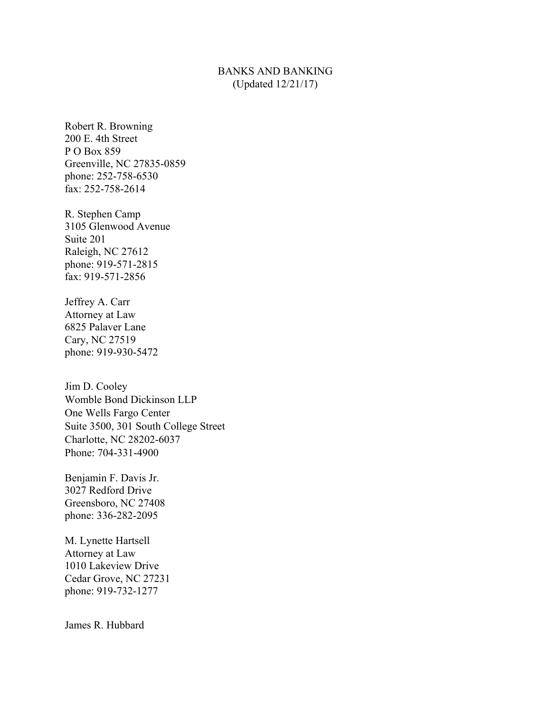## BANKS AND BANKING (Updated 12/21/17)

Robert R. Browning 200 E. 4th Street P O Box 859 Greenville, NC 27835-0859 phone: 252-758-6530 fax: 252-758-2614

R. Stephen Camp 3105 Glenwood Avenue Suite 201 Raleigh, NC 27612 phone: 919-571-2815 fax: 919-571-2856

Jeffrey A. Carr Attorney at Law 6825 Palaver Lane Cary, NC 27519 phone: 919-930-5472

Jim D. Cooley Womble Bond Dickinson LLP One Wells Fargo Center Suite 3500, 301 South College Street Charlotte, NC 28202-6037 Phone: 704-331-4900

Benjamin F. Davis Jr. 3027 Redford Drive Greensboro, NC 27408 phone: 336-282-2095

M. Lynette Hartsell Attorney at Law 1010 Lakeview Drive Cedar Grove, NC 27231 phone: 919-732-1277

James R. Hubbard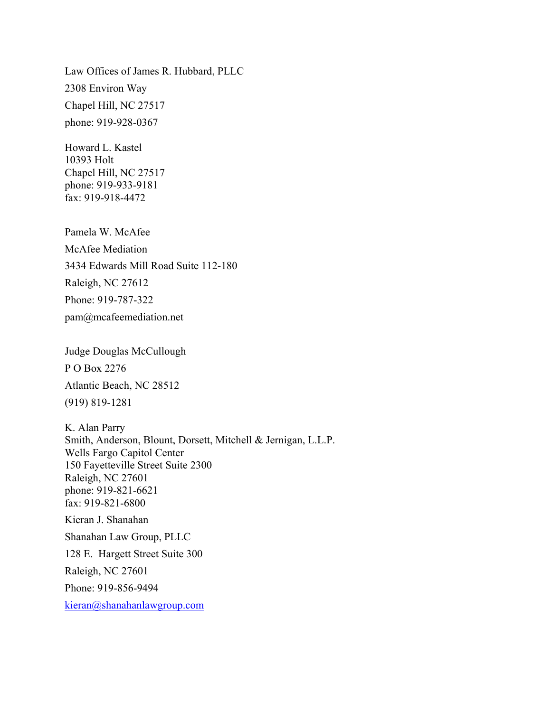Law Offices of James R. Hubbard, PLLC 2308 Environ Way Chapel Hill, NC 27517 phone: 919-928-0367

Howard L. Kastel 10393 Holt Chapel Hill, NC 27517 phone: 919-933-9181 fax: 919-918-4472

Pamela W. McAfee McAfee Mediation 3434 Edwards Mill Road Suite 112-180 Raleigh, NC 27612 Phone: 919-787-322 pam@mcafeemediation.net

Judge Douglas McCullough P O Box 2276 Atlantic Beach, NC 28512 (919) 819-1281

K. Alan Parry Smith, Anderson, Blount, Dorsett, Mitchell & Jernigan, L.L.P. Wells Fargo Capitol Center 150 Fayetteville Street Suite 2300 Raleigh, NC 27601 phone: 919-821-6621 fax: 919-821-6800 Kieran J. Shanahan Shanahan Law Group, PLLC 128 E. Hargett Street Suite 300 Raleigh, NC 27601 Phone: 919-856-9494 kieran@shanahanlawgroup.com